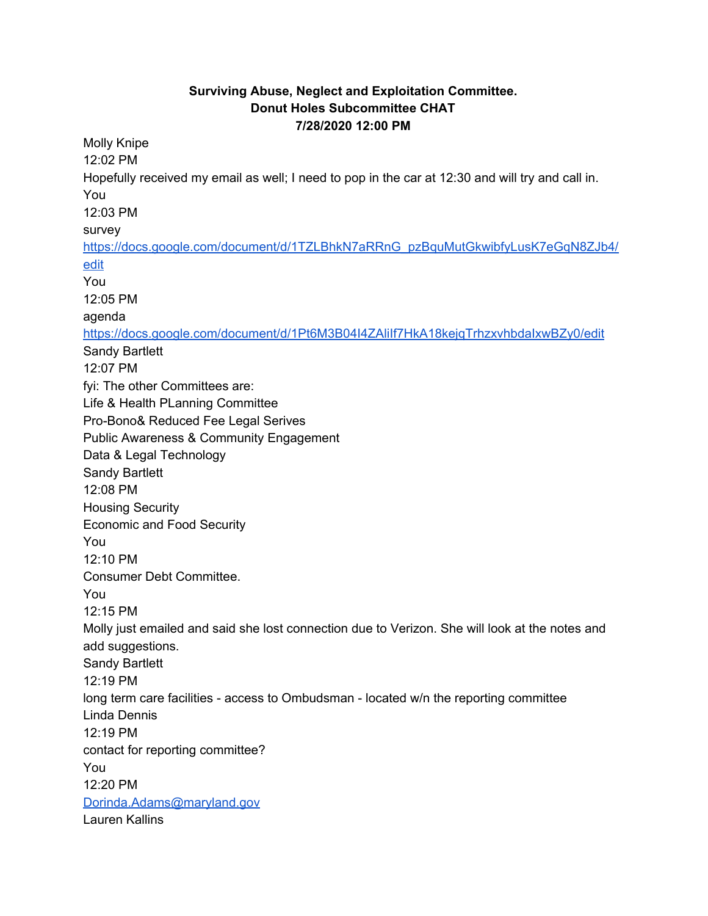## **Surviving Abuse, Neglect and Exploitation Committee. Donut Holes Subcommittee CHAT 7/28/2020 12:00 PM**

Molly Knipe 12:02 PM Hopefully received my email as well; I need to pop in the car at 12:30 and will try and call in. You 12:03 PM surve[y](https://meet.google.com/linkredirect?authuser=2&dest=https%3A%2F%2Fdocs.google.com%2Fdocument%2Fd%2F1TZLBhkN7aRRnG_pzBquMutGkwibfyLusK7eGqN8ZJb4%2Fedit) [https://docs.google.com/document/d/1TZLBhkN7aRRnG\\_pzBquMutGkwibfyLusK7eGqN8ZJb4/](https://meet.google.com/linkredirect?authuser=2&dest=https%3A%2F%2Fdocs.google.com%2Fdocument%2Fd%2F1TZLBhkN7aRRnG_pzBquMutGkwibfyLusK7eGqN8ZJb4%2Fedit) [edit](https://meet.google.com/linkredirect?authuser=2&dest=https%3A%2F%2Fdocs.google.com%2Fdocument%2Fd%2F1TZLBhkN7aRRnG_pzBquMutGkwibfyLusK7eGqN8ZJb4%2Fedit) You 12:05 PM agenda [https://docs.google.com/document/d/1Pt6M3B04I4ZAliIf7HkA18kejqTrhzxvhbdaIxwBZy0/edit](https://meet.google.com/linkredirect?authuser=2&dest=https%3A%2F%2Fdocs.google.com%2Fdocument%2Fd%2F1Pt6M3B04I4ZAliIf7HkA18kejqTrhzxvhbdaIxwBZy0%2Fedit) Sandy Bartlett 12:07 PM fyi: The other Committees are: Life & Health PLanning Committee Pro-Bono& Reduced Fee Legal Serives Public Awareness & Community Engagement Data & Legal Technology Sandy Bartlett 12:08 PM Housing Security Economic and Food Security You 12:10 PM Consumer Debt Committee. You 12:15 PM Molly just emailed and said she lost connection due to Verizon. She will look at the notes and add suggestions. Sandy Bartlett 12:19 PM long term care facilities - access to Ombudsman - located w/n the reporting committee Linda Dennis 12:19 PM contact for reporting committee? You 12:20 PM [Dorinda.Adams@maryland.gov](https://meet.google.com/linkredirect?authuser=2&dest=mailto%3ADorinda.Adams%40maryland.gov) Lauren Kallins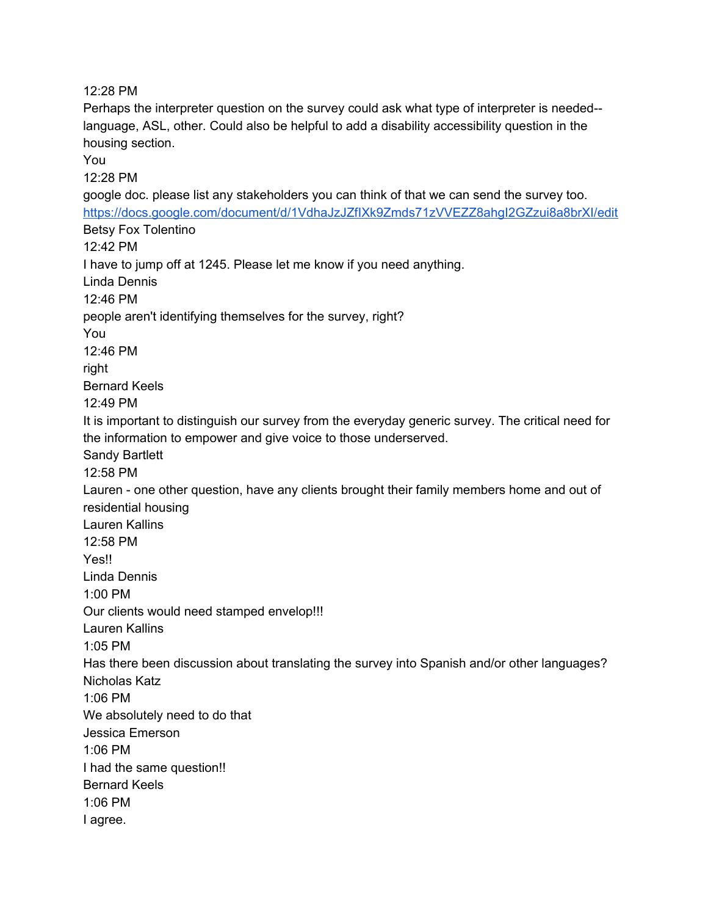12:28 PM

Perhaps the interpreter question on the survey could ask what type of interpreter is needed- language, ASL, other. Could also be helpful to add a disability accessibility question in the housing section.

You

12:28 PM

google doc. please list any stakeholders you can think of that we can send the survey too[.](https://meet.google.com/linkredirect?authuser=2&dest=https%3A%2F%2Fdocs.google.com%2Fdocument%2Fd%2F1VdhaJzJZfIXk9Zmds71zVVEZZ8ahgI2GZzui8a8brXI%2Fedit) [https://docs.google.com/document/d/1VdhaJzJZfIXk9Zmds71zVVEZZ8ahgI2GZzui8a8brXI/edit](https://meet.google.com/linkredirect?authuser=2&dest=https%3A%2F%2Fdocs.google.com%2Fdocument%2Fd%2F1VdhaJzJZfIXk9Zmds71zVVEZZ8ahgI2GZzui8a8brXI%2Fedit) Betsy Fox Tolentino 12:42 PM I have to jump off at 1245. Please let me know if you need anything. Linda Dennis 12:46 PM people aren't identifying themselves for the survey, right? You 12:46 PM right Bernard Keels 12:49 PM It is important to distinguish our survey from the everyday generic survey. The critical need for the information to empower and give voice to those underserved. Sandy Bartlett 12:58 PM Lauren - one other question, have any clients brought their family members home and out of residential housing Lauren Kallins 12:58 PM Yes!! Linda Dennis 1:00 PM Our clients would need stamped envelop!!! Lauren Kallins 1:05 PM Has there been discussion about translating the survey into Spanish and/or other languages? Nicholas Katz 1:06 PM We absolutely need to do that Jessica Emerson 1:06 PM I had the same question!! Bernard Keels 1:06 PM I agree.